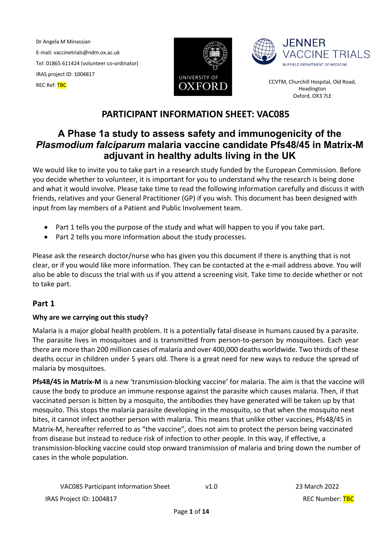Dr Angela M Minassian E-mail: vaccinetrials@ndm.ox.ac.uk Tel: 01865 611424 (volunteer co-ordinator) IRAS project ID: 1004817 TRAS Project ID: 1004817<br>REC Ref: TBC COVERSITY OF COVERSITY OF COVERSITY OF COVERSITY OF COVERSITY OF THE COVERSITY OF THE COVERSITY OF





Headington Oxford, OX3 7LE

# **PARTICIPANT INFORMATION SHEET: VAC085**

# **A Phase 1a study to assess safety and immunogenicity of the**  *Plasmodium falciparum* **malaria vaccine candidate Pfs48/45 in Matrix-M adjuvant in healthy adults living in the UK**

We would like to invite you to take part in a research study funded by the European Commission. Before you decide whether to volunteer, it is important for you to understand why the research is being done and what it would involve. Please take time to read the following information carefully and discuss it with friends, relatives and your General Practitioner (GP) if you wish. This document has been designed with input from lay members of a Patient and Public Involvement team.

- Part 1 tells you the purpose of the study and what will happen to you if you take part.
- Part 2 tells you more information about the study processes.

Please ask the research doctor/nurse who has given you this document if there is anything that is not clear, or if you would like more information. They can be contacted at the e-mail address above. You will also be able to discuss the trial with us if you attend a screening visit. Take time to decide whether or not to take part.

# **Part 1**

# **Why are we carrying out this study?**

Malaria is a major global health problem. It is a potentially fatal disease in humans caused by a parasite. The parasite lives in mosquitoes and is transmitted from person-to-person by mosquitoes. Each year there are more than 200 million cases of malaria and over 400,000 deaths worldwide. Two thirds of these deaths occur in children under 5 years old. There is a great need for new ways to reduce the spread of malaria by mosquitoes.

**Pfs48/45 in Matrix-M** is a new 'transmission-blocking vaccine' for malaria. The aim is that the vaccine will cause the body to produce an immune response against the parasite which causes malaria. Then, if that vaccinated person is bitten by a mosquito, the antibodies they have generated will be taken up by that mosquito. This stops the malaria parasite developing in the mosquito, so that when the mosquito next bites, it cannot infect another person with malaria. This means that unlike other vaccines, Pfs48/45 in Matrix-M, hereafter referred to as "the vaccine", does not aim to protect the person being vaccinated from disease but instead to reduce risk of infection to other people. In this way, if effective, a transmission-blocking vaccine could stop onward transmission of malaria and bring down the number of cases in the whole population.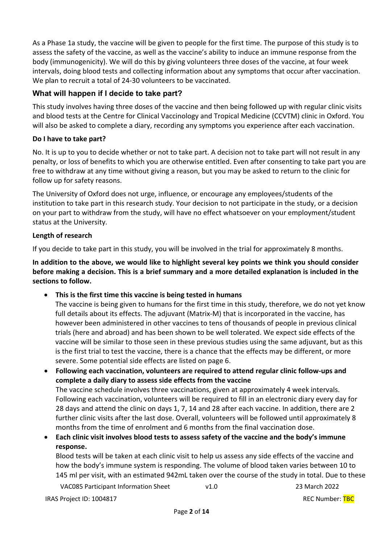As a Phase 1a study, the vaccine will be given to people for the first time. The purpose of this study is to assess the safety of the vaccine, as well as the vaccine's ability to induce an immune response from the body (immunogenicity). We will do this by giving volunteers three doses of the vaccine, at four week intervals, doing blood tests and collecting information about any symptoms that occur after vaccination. We plan to recruit a total of 24-30 volunteers to be vaccinated.

# **What will happen if I decide to take part?**

This study involves having three doses of the vaccine and then being followed up with regular clinic visits and blood tests at the Centre for Clinical Vaccinology and Tropical Medicine (CCVTM) clinic in Oxford. You will also be asked to complete a diary, recording any symptoms you experience after each vaccination.

# **Do I have to take part?**

No. It is up to you to decide whether or not to take part. A decision not to take part will not result in any penalty, or loss of benefits to which you are otherwise entitled. Even after consenting to take part you are free to withdraw at any time without giving a reason, but you may be asked to return to the clinic for follow up for safety reasons.

The University of Oxford does not urge, influence, or encourage any employees/students of the institution to take part in this research study. Your decision to not participate in the study, or a decision on your part to withdraw from the study, will have no effect whatsoever on your employment/student status at the University.

# **Length of research**

If you decide to take part in this study, you will be involved in the trial for approximately 8 months.

**In addition to the above, we would like to highlight several key points we think you should consider before making a decision. This is a brief summary and a more detailed explanation is included in the sections to follow.** 

• **This is the first time this vaccine is being tested in humans**

The vaccine is being given to humans for the first time in this study, therefore, we do not yet know full details about its effects. The adjuvant (Matrix-M) that is incorporated in the vaccine, has however been administered in other vaccines to tens of thousands of people in previous clinical trials (here and abroad) and has been shown to be well tolerated. We expect side effects of the vaccine will be similar to those seen in these previous studies using the same adjuvant, but as this is the first trial to test the vaccine, there is a chance that the effects may be different, or more severe. Some potential side effects are listed on page 6.

• **Following each vaccination, volunteers are required to attend regular clinic follow-ups and complete a daily diary to assess side effects from the vaccine** The vaccine schedule involves three vaccinations, given at approximately 4 week intervals. Following each vaccination, volunteers will be required to fill in an electronic diary every day for 28 days and attend the clinic on days 1, 7, 14 and 28 after each vaccine. In addition, there are 2 further clinic visits after the last dose. Overall, volunteers will be followed until approximately 8 months from the time of enrolment and 6 months from the final vaccination dose.

• **Each clinic visit involves blood tests to assess safety of the vaccine and the body's immune response.**

Blood tests will be taken at each clinic visit to help us assess any side effects of the vaccine and how the body's immune system is responding. The volume of blood taken varies between 10 to 145 ml per visit, with an estimated 942mL taken over the course of the study in total. Due to these

VAC085 Participant Information Sheet v1.0 23 March 2022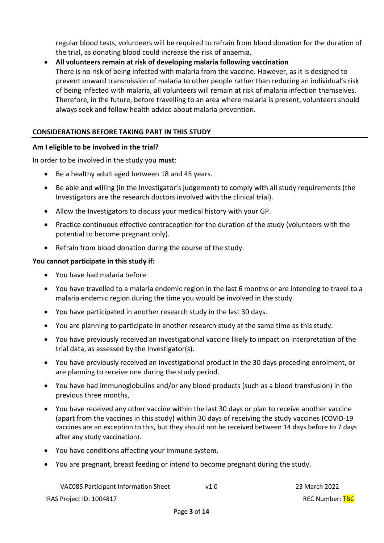regular blood tests, volunteers will be required to refrain from blood donation for the duration of the trial, as donating blood could increase the risk of anaemia.

# • **All volunteers remain at risk of developing malaria following vaccination**  There is no risk of being infected with malaria from the vaccine. However, as it is designed to prevent onward transmission of malaria to other people rather than reducing an individual's risk of being infected with malaria, all volunteers will remain at risk of malaria infection themselves. Therefore, in the future, before travelling to an area where malaria is present, volunteers should always seek and follow health advice about malaria prevention.

### **CONSIDERATIONS BEFORE TAKING PART IN THIS STUDY**

#### **Am I eligible to be involved in the trial?**

In order to be involved in the study you **must**:

- Be a healthy adult aged between 18 and 45 years.
- Be able and willing (in the Investigator's judgement) to comply with all study requirements (the Investigators are the research doctors involved with the clinical trial).
- Allow the Investigators to discuss your medical history with your GP.
- Practice continuous effective contraception for the duration of the study (volunteers with the potential to become pregnant only).
- Refrain from blood donation during the course of the study.

### **You cannot participate in this study if:**

- You have had malaria before.
- You have travelled to a malaria endemic region in the last 6 months or are intending to travel to a malaria endemic region during the time you would be involved in the study.
- You have participated in another research study in the last 30 days.
- You are planning to participate in another research study at the same time as this study.
- You have previously received an investigational vaccine likely to impact on interpretation of the trial data, as assessed by the Investigator(s).
- You have previously received an investigational product in the 30 days preceding enrolment, or are planning to receive one during the study period.
- You have had immunoglobulins and/or any blood products (such as a blood transfusion) in the previous three months,
- You have received any other vaccine within the last 30 days or plan to receive another vaccine (apart from the vaccines in this study) within 30 days of receiving the study vaccines (COVID-19 vaccines are an exception to this, but they should not be received between 14 days before to 7 days after any study vaccination).
- You have conditions affecting your immune system.
- You are pregnant, breast feeding or intend to become pregnant during the study.

VAC085 Participant Information Sheet v1.0 23 March 2022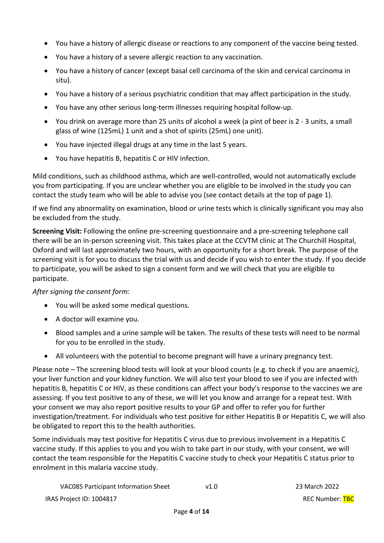- You have a history of allergic disease or reactions to any component of the vaccine being tested.
- You have a history of a severe allergic reaction to any vaccination.
- You have a history of cancer (except basal cell carcinoma of the skin and cervical carcinoma in situ).
- You have a history of a serious psychiatric condition that may affect participation in the study.
- You have any other serious long-term illnesses requiring hospital follow-up.
- You drink on average more than 25 units of alcohol a week (a pint of beer is 2 3 units, a small glass of wine (125mL) 1 unit and a shot of spirits (25mL) one unit).
- You have injected illegal drugs at any time in the last 5 years.
- You have hepatitis B, hepatitis C or HIV infection.

Mild conditions, such as childhood asthma, which are well-controlled, would not automatically exclude you from participating. If you are unclear whether you are eligible to be involved in the study you can contact the study team who will be able to advise you (see contact details at the top of page 1).

If we find any abnormality on examination, blood or urine tests which is clinically significant you may also be excluded from the study.

**Screening Visit:** Following the online pre-screening questionnaire and a pre-screening telephone call there will be an in-person screening visit. This takes place at the CCVTM clinic at The Churchill Hospital, Oxford and will last approximately two hours, with an opportunity for a short break*.* The purpose of the screening visit is for you to discuss the trial with us and decide if you wish to enter the study. If you decide to participate, you will be asked to sign a consent form and we will check that you are eligible to participate.

# *After signing the consent form:*

- You will be asked some medical questions.
- A doctor will examine you.
- Blood samples and a urine sample will be taken. The results of these tests will need to be normal for you to be enrolled in the study.
- All volunteers with the potential to become pregnant will have a urinary pregnancy test.

Please note – The screening blood tests will look at your blood counts (e.g. to check if you are anaemic), your liver function and your kidney function. We will also test your blood to see if you are infected with hepatitis B, hepatitis C or HIV, as these conditions can affect your body's response to the vaccines we are assessing. If you test positive to any of these, we will let you know and arrange for a repeat test. With your consent we may also report positive results to your GP and offer to refer you for further investigation/treatment. For individuals who test positive for either Hepatitis B or Hepatitis C, we will also be obligated to report this to the health authorities.

Some individuals may test positive for Hepatitis C virus due to previous involvement in a Hepatitis C vaccine study. If this applies to you and you wish to take part in our study, with your consent, we will contact the team responsible for the Hepatitis C vaccine study to check your Hepatitis C status prior to enrolment in this malaria vaccine study.

| VAC085 Participant Information Sheet | v1.0 |
|--------------------------------------|------|
|--------------------------------------|------|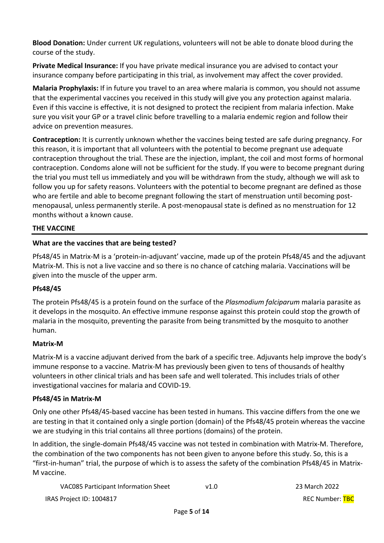**Blood Donation:** Under current UK regulations, volunteers will not be able to donate blood during the course of the study.

**Private Medical Insurance:** If you have private medical insurance you are advised to contact your insurance company before participating in this trial, as involvement may affect the cover provided.

**Malaria Prophylaxis:** If in future you travel to an area where malaria is common, you should not assume that the experimental vaccines you received in this study will give you any protection against malaria. Even if this vaccine is effective, it is not designed to protect the recipient from malaria infection. Make sure you visit your GP or a travel clinic before travelling to a malaria endemic region and follow their advice on prevention measures.

**Contraception:** It is currently unknown whether the vaccines being tested are safe during pregnancy. For this reason, it is important that all volunteers with the potential to become pregnant use adequate contraception throughout the trial. These are the injection, implant, the coil and most forms of hormonal contraception. Condoms alone will not be sufficient for the study. If you were to become pregnant during the trial you must tell us immediately and you will be withdrawn from the study, although we will ask to follow you up for safety reasons. Volunteers with the potential to become pregnant are defined as those who are fertile and able to become pregnant following the start of menstruation until becoming postmenopausal, unless permanently sterile. A post-menopausal state is defined as no menstruation for 12 months without a known cause.

# **THE VACCINE**

### **What are the vaccines that are being tested?**

Pfs48/45 in Matrix-M is a 'protein-in-adjuvant' vaccine, made up of the protein Pfs48/45 and the adjuvant Matrix-M. This is not a live vaccine and so there is no chance of catching malaria. Vaccinations will be given into the muscle of the upper arm.

# **Pfs48/45**

The protein Pfs48/45 is a protein found on the surface of the *Plasmodium falciparum* malaria parasite as it develops in the mosquito. An effective immune response against this protein could stop the growth of malaria in the mosquito, preventing the parasite from being transmitted by the mosquito to another human.

#### **Matrix-M**

Matrix-M is a vaccine adjuvant derived from the bark of a specific tree. Adjuvants help improve the body's immune response to a vaccine. Matrix-M has previously been given to tens of thousands of healthy volunteers in other clinical trials and has been safe and well tolerated. This includes trials of other investigational vaccines for malaria and COVID-19.

#### **Pfs48/45 in Matrix-M**

Only one other Pfs48/45-based vaccine has been tested in humans. This vaccine differs from the one we are testing in that it contained only a single portion (domain) of the Pfs48/45 protein whereas the vaccine we are studying in this trial contains all three portions (domains) of the protein.

In addition, the single-domain Pfs48/45 vaccine was not tested in combination with Matrix-M. Therefore, the combination of the two components has not been given to anyone before this study. So, this is a "first-in-human" trial, the purpose of which is to assess the safety of the combination Pfs48/45 in Matrix-M vaccine.

| VAC085 Participant Information Sheet | v1.0 |
|--------------------------------------|------|
|--------------------------------------|------|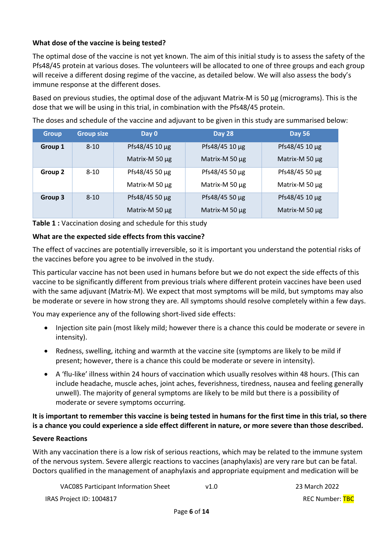# **What dose of the vaccine is being tested?**

The optimal dose of the vaccine is not yet known. The aim of this initial study is to assess the safety of the Pfs48/45 protein at various doses. The volunteers will be allocated to one of three groups and each group will receive a different dosing regime of the vaccine, as detailed below. We will also assess the body's immune response at the different doses.

Based on previous studies, the optimal dose of the adjuvant Matrix-M is 50 ug (micrograms). This is the dose that we will be using in this trial, in combination with the Pfs48/45 protein.

The doses and schedule of the vaccine and adjuvant to be given in this study are summarised below:

| <b>Group</b> | <b>Group size</b> | Day 0          | <b>Day 28</b>  | <b>Day 56</b>  |
|--------------|-------------------|----------------|----------------|----------------|
| Group 1      | $8 - 10$          | Pfs48/45 10 µg | Pfs48/45 10 µg | Pfs48/45 10 µg |
|              |                   | Matrix-M 50 µg | Matrix-M 50 µg | Matrix-M 50 µg |
| Group 2      | $8 - 10$          | Pfs48/45 50 µg | Pfs48/45 50 µg | Pfs48/45 50 µg |
|              |                   | Matrix-M 50 µg | Matrix-M 50 µg | Matrix-M 50 µg |
| Group 3      | $8 - 10$          | Pfs48/45 50 µg | Pfs48/45 50 µg | Pfs48/45 10 µg |
|              |                   | Matrix-M 50 µg | Matrix-M 50 µg | Matrix-M 50 µg |

**Table 1 :** Vaccination dosing and schedule for this study

### **What are the expected side effects from this vaccine?**

The effect of vaccines are potentially irreversible, so it is important you understand the potential risks of the vaccines before you agree to be involved in the study.

This particular vaccine has not been used in humans before but we do not expect the side effects of this vaccine to be significantly different from previous trials where different protein vaccines have been used with the same adjuvant (Matrix-M). We expect that most symptoms will be mild, but symptoms may also be moderate or severe in how strong they are. All symptoms should resolve completely within a few days.

You may experience any of the following short-lived side effects:

- Injection site pain (most likely mild; however there is a chance this could be moderate or severe in intensity).
- Redness, swelling, itching and warmth at the vaccine site (symptoms are likely to be mild if present; however, there is a chance this could be moderate or severe in intensity).
- A 'flu-like' illness within 24 hours of vaccination which usually resolves within 48 hours. (This can include headache, muscle aches, joint aches, feverishness, tiredness, nausea and feeling generally unwell). The majority of general symptoms are likely to be mild but there is a possibility of moderate or severe symptoms occurring.

**It is important to remember this vaccine is being tested in humans for the first time in this trial, so there is a chance you could experience a side effect different in nature, or more severe than those described.**

#### **Severe Reactions**

With any vaccination there is a low risk of serious reactions, which may be related to the immune system of the nervous system. Severe allergic reactions to vaccines (anaphylaxis) are very rare but can be fatal. Doctors qualified in the management of anaphylaxis and appropriate equipment and medication will be

| VAC085 Participant Information Sheet | v1.0 |
|--------------------------------------|------|
|--------------------------------------|------|

23 March 2022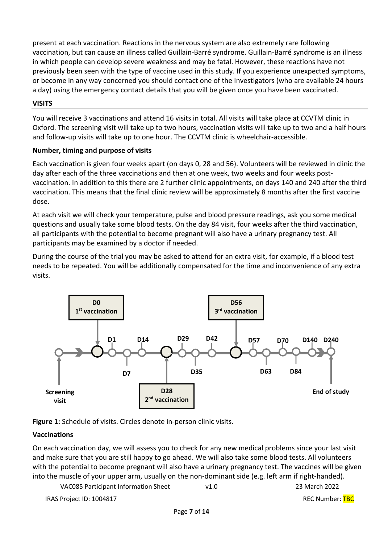present at each vaccination. Reactions in the nervous system are also extremely rare following vaccination, but can cause an illness called Guillain-Barré syndrome. Guillain-Barré syndrome is an illness in which people can develop severe weakness and may be fatal. However, these reactions have not previously been seen with the type of vaccine used in this study. If you experience unexpected symptoms, or become in any way concerned you should contact one of the Investigators (who are available 24 hours a day) using the emergency contact details that you will be given once you have been vaccinated.

# **VISITS**

You will receive 3 vaccinations and attend 16 visits in total. All visits will take place at CCVTM clinic in Oxford. The screening visit will take up to two hours, vaccination visits will take up to two and a half hours and follow-up visits will take up to one hour. The CCVTM clinic is wheelchair-accessible.

# **Number, timing and purpose of visits**

Each vaccination is given four weeks apart (on days 0, 28 and 56). Volunteers will be reviewed in clinic the day after each of the three vaccinations and then at one week, two weeks and four weeks postvaccination. In addition to this there are 2 further clinic appointments, on days 140 and 240 after the third vaccination. This means that the final clinic review will be approximately 8 months after the first vaccine dose.

At each visit we will check your temperature, pulse and blood pressure readings, ask you some medical questions and usually take some blood tests. On the day 84 visit, four weeks after the third vaccination, all participants with the potential to become pregnant will also have a urinary pregnancy test. All participants may be examined by a doctor if needed.

During the course of the trial you may be asked to attend for an extra visit, for example, if a blood test needs to be repeated. You will be additionally compensated for the time and inconvenience of any extra visits.



**Figure 1:** Schedule of visits. Circles denote in-person clinic visits.

# **Vaccinations**

On each vaccination day, we will assess you to check for any new medical problems since your last visit and make sure that you are still happy to go ahead. We will also take some blood tests. All volunteers with the potential to become pregnant will also have a urinary pregnancy test. The vaccines will be given into the muscle of your upper arm, usually on the non-dominant side (e.g. left arm if right-handed).

| <b>VAC085 Participant Information Sheet</b> | v1.0 | 23 March 2022 |
|---------------------------------------------|------|---------------|
|---------------------------------------------|------|---------------|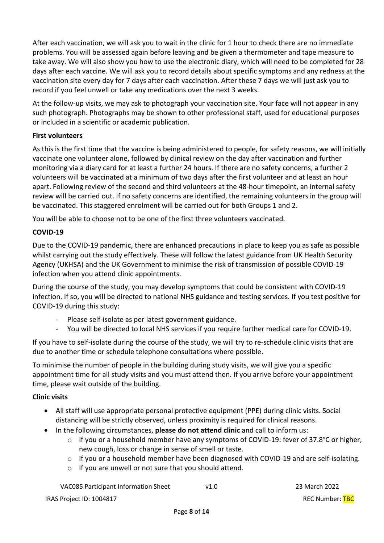After each vaccination, we will ask you to wait in the clinic for 1 hour to check there are no immediate problems. You will be assessed again before leaving and be given a thermometer and tape measure to take away. We will also show you how to use the electronic diary, which will need to be completed for 28 days after each vaccine. We will ask you to record details about specific symptoms and any redness at the vaccination site every day for 7 days after each vaccination. After these 7 days we will just ask you to record if you feel unwell or take any medications over the next 3 weeks.

At the follow-up visits, we may ask to photograph your vaccination site. Your face will not appear in any such photograph. Photographs may be shown to other professional staff, used for educational purposes or included in a scientific or academic publication.

# **First volunteers**

As this is the first time that the vaccine is being administered to people, for safety reasons, we will initially vaccinate one volunteer alone, followed by clinical review on the day after vaccination and further monitoring via a diary card for at least a further 24 hours. If there are no safety concerns, a further 2 volunteers will be vaccinated at a minimum of two days after the first volunteer and at least an hour apart. Following review of the second and third volunteers at the 48-hour timepoint, an internal safety review will be carried out. If no safety concerns are identified, the remaining volunteers in the group will be vaccinated. This staggered enrolment will be carried out for both Groups 1 and 2.

You will be able to choose not to be one of the first three volunteers vaccinated.

# **COVID-19**

Due to the COVID-19 pandemic, there are enhanced precautions in place to keep you as safe as possible whilst carrying out the study effectively. These will follow the latest guidance from UK Health Security Agency (UKHSA) and the UK Government to minimise the risk of transmission of possible COVID-19 infection when you attend clinic appointments.

During the course of the study, you may develop symptoms that could be consistent with COVID-19 infection. If so, you will be directed to national NHS guidance and testing services. If you test positive for COVID-19 during this study:

- Please self-isolate as per latest government guidance.
- You will be directed to local NHS services if you require further medical care for COVID-19.

If you have to self-isolate during the course of the study, we will try to re-schedule clinic visits that are due to another time or schedule telephone consultations where possible.

To minimise the number of people in the building during study visits, we will give you a specific appointment time for all study visits and you must attend then. If you arrive before your appointment time, please wait outside of the building.

#### **Clinic visits**

- All staff will use appropriate personal protective equipment (PPE) during clinic visits. Social distancing will be strictly observed, unless proximity is required for clinical reasons.
- In the following circumstances, **please do not attend clinic** and call to inform us:
	- $\circ$  If you or a household member have any symptoms of COVID-19: fever of 37.8°C or higher, new cough, loss or change in sense of smell or taste.
	- $\circ$  If you or a household member have been diagnosed with COVID-19 and are self-isolating.
	- o If you are unwell or not sure that you should attend.

VAC085 Participant Information Sheet v1.0 23 March 2022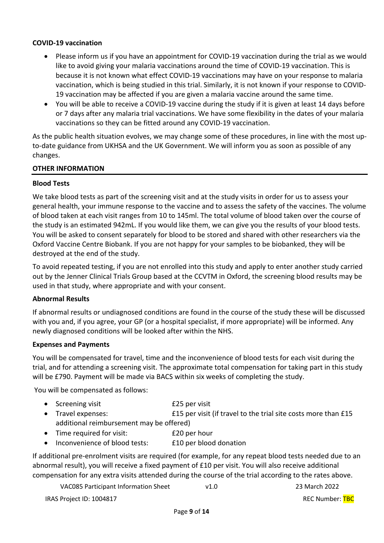#### **COVID-19 vaccination**

- Please inform us if you have an appointment for COVID-19 vaccination during the trial as we would like to avoid giving your malaria vaccinations around the time of COVID-19 vaccination. This is because it is not known what effect COVID-19 vaccinations may have on your response to malaria vaccination, which is being studied in this trial. Similarly, it is not known if your response to COVID-19 vaccination may be affected if you are given a malaria vaccine around the same time.
- You will be able to receive a COVID-19 vaccine during the study if it is given at least 14 days before or 7 days after any malaria trial vaccinations. We have some flexibility in the dates of your malaria vaccinations so they can be fitted around any COVID-19 vaccination.

As the public health situation evolves, we may change some of these procedures, in line with the most upto-date guidance from UKHSA and the UK Government. We will inform you as soon as possible of any changes.

#### **OTHER INFORMATION**

#### **Blood Tests**

We take blood tests as part of the screening visit and at the study visits in order for us to assess your general health, your immune response to the vaccine and to assess the safety of the vaccines. The volume of blood taken at each visit ranges from 10 to 145ml. The total volume of blood taken over the course of the study is an estimated 942mL. If you would like them, we can give you the results of your blood tests. You will be asked to consent separately for blood to be stored and shared with other researchers via the Oxford Vaccine Centre Biobank. If you are not happy for your samples to be biobanked, they will be destroyed at the end of the study.

To avoid repeated testing, if you are not enrolled into this study and apply to enter another study carried out by the Jenner Clinical Trials Group based at the CCVTM in Oxford, the screening blood results may be used in that study, where appropriate and with your consent.

#### **Abnormal Results**

If abnormal results or undiagnosed conditions are found in the course of the study these will be discussed with you and, if you agree, your GP (or a hospital specialist, if more appropriate) will be informed. Any newly diagnosed conditions will be looked after within the NHS.

#### **Expenses and Payments**

You will be compensated for travel, time and the inconvenience of blood tests for each visit during the trial, and for attending a screening visit. The approximate total compensation for taking part in this study will be £790. Payment will be made via BACS within six weeks of completing the study.

You will be compensated as follows:

| • Screening visit                        | £25 per visit                                                  |  |  |
|------------------------------------------|----------------------------------------------------------------|--|--|
| • Travel expenses:                       | E15 per visit (if travel to the trial site costs more than E15 |  |  |
| additional reimbursement may be offered) |                                                                |  |  |
| • Time required for visit:               | £20 per hour                                                   |  |  |

Inconvenience of blood tests: E10 per blood donation

If additional pre-enrolment visits are required (for example, for any repeat blood tests needed due to an abnormal result), you will receive a fixed payment of £10 per visit. You will also receive additional compensation for any extra visits attended during the course of the trial according to the rates above.

VAC085 Participant Information Sheet v1.0 23 March 2022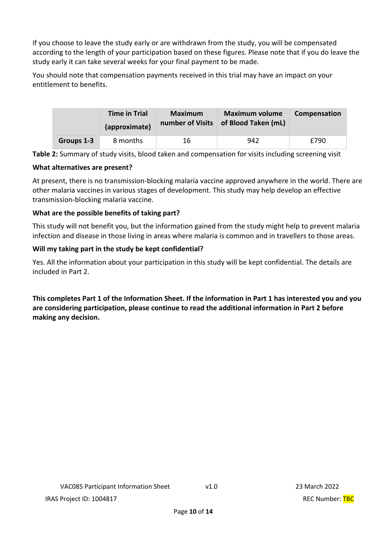If you choose to leave the study early or are withdrawn from the study, you will be compensated according to the length of your participation based on these figures. Please note that if you do leave the study early it can take several weeks for your final payment to be made.

You should note that compensation payments received in this trial may have an impact on your entitlement to benefits.

|            | <b>Time in Trial</b><br>(approximate) | <b>Maximum</b> | <b>Maximum volume</b><br>number of Visits   of Blood Taken (mL) | Compensation |
|------------|---------------------------------------|----------------|-----------------------------------------------------------------|--------------|
| Groups 1-3 | 8 months                              | 16             | 942                                                             | £790         |

**Table 2:** Summary of study visits, blood taken and compensation for visits including screening visit

### **What alternatives are present?**

At present, there is no transmission-blocking malaria vaccine approved anywhere in the world. There are other malaria vaccines in various stages of development. This study may help develop an effective transmission-blocking malaria vaccine.

# **What are the possible benefits of taking part?**

This study will not benefit you, but the information gained from the study might help to prevent malaria infection and disease in those living in areas where malaria is common and in travellers to those areas.

# **Will my taking part in the study be kept confidential?**

Yes. All the information about your participation in this study will be kept confidential. The details are included in Part 2.

**This completes Part 1 of the Information Sheet. If the information in Part 1 has interested you and you are considering participation, please continue to read the additional information in Part 2 before making any decision.**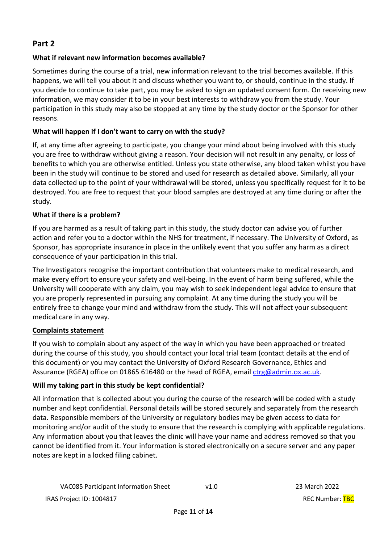# **Part 2**

# **What if relevant new information becomes available?**

Sometimes during the course of a trial, new information relevant to the trial becomes available. If this happens, we will tell you about it and discuss whether you want to, or should, continue in the study. If you decide to continue to take part, you may be asked to sign an updated consent form. On receiving new information, we may consider it to be in your best interests to withdraw you from the study. Your participation in this study may also be stopped at any time by the study doctor or the Sponsor for other reasons.

# **What will happen if I don't want to carry on with the study?**

If, at any time after agreeing to participate, you change your mind about being involved with this study you are free to withdraw without giving a reason. Your decision will not result in any penalty, or loss of benefits to which you are otherwise entitled. Unless you state otherwise, any blood taken whilst you have been in the study will continue to be stored and used for research as detailed above. Similarly, all your data collected up to the point of your withdrawal will be stored, unless you specifically request for it to be destroyed. You are free to request that your blood samples are destroyed at any time during or after the study.

# **What if there is a problem?**

If you are harmed as a result of taking part in this study, the study doctor can advise you of further action and refer you to a doctor within the NHS for treatment, if necessary. The University of Oxford, as Sponsor, has appropriate insurance in place in the unlikely event that you suffer any harm as a direct consequence of your participation in this trial.

The Investigators recognise the important contribution that volunteers make to medical research, and make every effort to ensure your safety and well-being. In the event of harm being suffered, while the University will cooperate with any claim, you may wish to seek independent legal advice to ensure that you are properly represented in pursuing any complaint. At any time during the study you will be entirely free to change your mind and withdraw from the study. This will not affect your subsequent medical care in any way.

# **Complaints statement**

If you wish to complain about any aspect of the way in which you have been approached or treated during the course of this study, you should contact your local trial team (contact details at the end of this document) or you may contact the University of Oxford Research Governance, Ethics and Assurance (RGEA) office on 01865 616480 or the head of RGEA, email ctrg@admin.ox.ac.uk.

# **Will my taking part in this study be kept confidential?**

All information that is collected about you during the course of the research will be coded with a study number and kept confidential. Personal details will be stored securely and separately from the research data. Responsible members of the University or regulatory bodies may be given access to data for monitoring and/or audit of the study to ensure that the research is complying with applicable regulations. Any information about you that leaves the clinic will have your name and address removed so that you cannot be identified from it. Your information is stored electronically on a secure server and any paper notes are kept in a locked filing cabinet.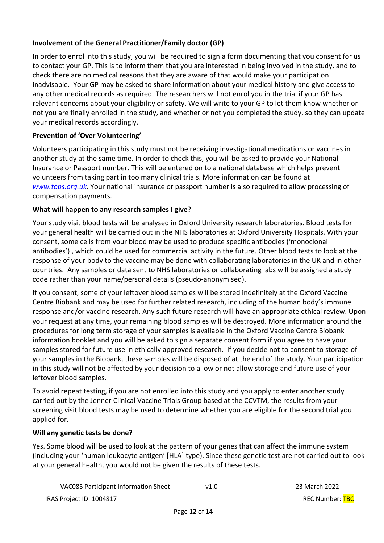# **Involvement of the General Practitioner/Family doctor (GP)**

In order to enrol into this study, you will be required to sign a form documenting that you consent for us to contact your GP. This is to inform them that you are interested in being involved in the study, and to check there are no medical reasons that they are aware of that would make your participation inadvisable. Your GP may be asked to share information about your medical history and give access to any other medical records as required. The researchers will not enrol you in the trial if your GP has relevant concerns about your eligibility or safety. We will write to your GP to let them know whether or not you are finally enrolled in the study, and whether or not you completed the study, so they can update your medical records accordingly.

# **Prevention of 'Over Volunteering'**

Volunteers participating in this study must not be receiving investigational medications or vaccines in another study at the same time. In order to check this, you will be asked to provide your National Insurance or Passport number. This will be entered on to a national database which helps prevent volunteers from taking part in too many clinical trials. More information can be found at *www.tops.org.uk*. Your national insurance or passport number is also required to allow processing of compensation payments.

# **What will happen to any research samples I give?**

Your study visit blood tests will be analysed in Oxford University research laboratories. Blood tests for your general health will be carried out in the NHS laboratories at Oxford University Hospitals. With your consent, some cells from your blood may be used to produce specific antibodies ('monoclonal antibodies') , which could be used for commercial activity in the future. Other blood tests to look at the response of your body to the vaccine may be done with collaborating laboratories in the UK and in other countries. Any samples or data sent to NHS laboratories or collaborating labs will be assigned a study code rather than your name/personal details (pseudo-anonymised).

If you consent, some of your leftover blood samples will be stored indefinitely at the Oxford Vaccine Centre Biobank and may be used for further related research, including of the human body's immune response and/or vaccine research. Any such future research will have an appropriate ethical review. Upon your request at any time, your remaining blood samples will be destroyed. More information around the procedures for long term storage of your samples is available in the Oxford Vaccine Centre Biobank information booklet and you will be asked to sign a separate consent form if you agree to have your samples stored for future use in ethically approved research. If you decide not to consent to storage of your samples in the Biobank, these samples will be disposed of at the end of the study. Your participation in this study will not be affected by your decision to allow or not allow storage and future use of your leftover blood samples.

To avoid repeat testing, if you are not enrolled into this study and you apply to enter another study carried out by the Jenner Clinical Vaccine Trials Group based at the CCVTM, the results from your screening visit blood tests may be used to determine whether you are eligible for the second trial you applied for.

# **Will any genetic tests be done?**

Yes. Some blood will be used to look at the pattern of your genes that can affect the immune system (including your 'human leukocyte antigen' [HLA] type). Since these genetic test are not carried out to look at your general health, you would not be given the results of these tests.

| <b>VAC085 Participant Information Sheet</b> | v1.0 | 23 March 2022          |
|---------------------------------------------|------|------------------------|
| IRAS Project ID: 1004817                    |      | <b>REC Number: TBC</b> |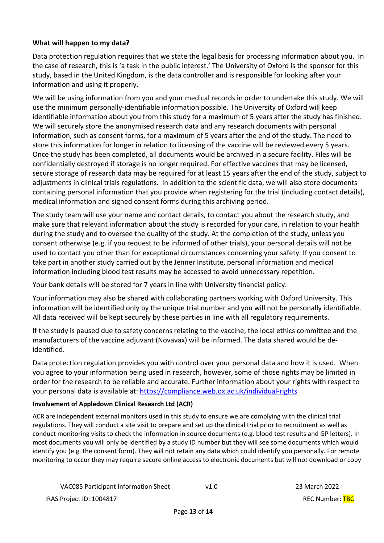### **What will happen to my data?**

Data protection regulation requires that we state the legal basis for processing information about you. In the case of research, this is 'a task in the public interest.' The University of Oxford is the sponsor for this study, based in the United Kingdom, is the data controller and is responsible for looking after your information and using it properly.

We will be using information from you and your medical records in order to undertake this study. We will use the minimum personally-identifiable information possible. The University of Oxford will keep identifiable information about you from this study for a maximum of 5 years after the study has finished. We will securely store the anonymised research data and any research documents with personal information, such as consent forms, for a maximum of 5 years after the end of the study. The need to store this information for longer in relation to licensing of the vaccine will be reviewed every 5 years. Once the study has been completed, all documents would be archived in a secure facility. Files will be confidentially destroyed if storage is no longer required. For effective vaccines that may be licensed, secure storage of research data may be required for at least 15 years after the end of the study, subject to adjustments in clinical trials regulations. In addition to the scientific data, we will also store documents containing personal information that you provide when registering for the trial (including contact details), medical information and signed consent forms during this archiving period.

The study team will use your name and contact details, to contact you about the research study, and make sure that relevant information about the study is recorded for your care, in relation to your health during the study and to oversee the quality of the study. At the completion of the study, unless you consent otherwise (e.g. if you request to be informed of other trials), your personal details will not be used to contact you other than for exceptional circumstances concerning your safety. If you consent to take part in another study carried out by the Jenner Institute, personal information and medical information including blood test results may be accessed to avoid unnecessary repetition.

Your bank details will be stored for 7 years in line with University financial policy.

Your information may also be shared with collaborating partners working with Oxford University. This information will be identified only by the unique trial number and you will not be personally identifiable. All data received will be kept securely by these parties in line with all regulatory requirements.

If the study is paused due to safety concerns relating to the vaccine, the local ethics committee and the manufacturers of the vaccine adjuvant (Novavax) will be informed. The data shared would be deidentified.

Data protection regulation provides you with control over your personal data and how it is used. When you agree to your information being used in research, however, some of those rights may be limited in order for the research to be reliable and accurate. Further information about your rights with respect to your personal data is available at: https://compliance.web.ox.ac.uk/individual-rights

#### **Involvement of Appledown Clinical Research Ltd (ACR)**

ACR are independent external monitors used in this study to ensure we are complying with the clinical trial regulations. They will conduct a site visit to prepare and set up the clinical trial prior to recruitment as well as conduct monitoring visits to check the information in source documents (e.g. blood test results and GP letters). In most documents you will only be identified by a study ID number but they will see some documents which would identify you (e.g. the consent form). They will not retain any data which could identify you personally. For remote monitoring to occur they may require secure online access to electronic documents but will not download or copy

```
VAC085 Participant Information Sheet v1.0 23 March 2022
```